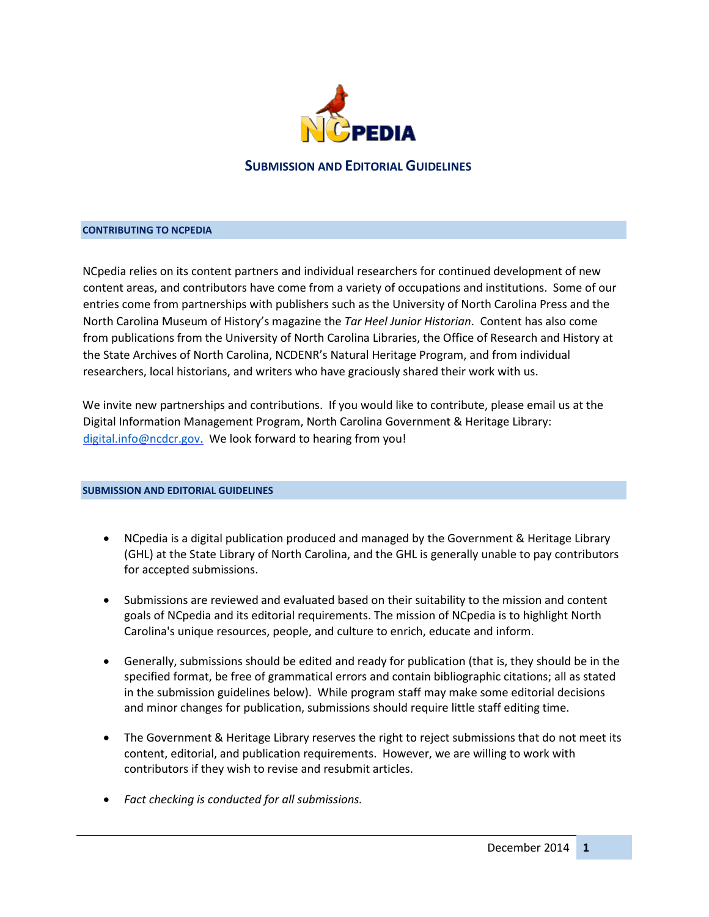

### **CONTRIBUTING TO NCPEDIA**

NCpedia relies on its content partners and individual researchers for continued development of new content areas, and contributors have come from a variety of occupations and institutions. Some of our entries come from partnerships with publishers such as the University of North Carolina Press and the North Carolina Museum of History's magazine the *Tar Heel Junior Historian*. Content has also come from publications from the University of North Carolina Libraries, the Office of Research and History at the State Archives of North Carolina, NCDENR's Natural Heritage Program, and from individual researchers, local historians, and writers who have graciously shared their work with us.

We invite new partnerships and contributions. If you would like to contribute, please email us at the Digital Information Management Program, North Carolina Government & Heritage Library: [digital.info@ncdcr.gov.](mailto:digital.info@ncdcr.gov) We look forward to hearing from you!

#### **SUBMISSION AND EDITORIAL GUIDELINES**

- NCpedia is a digital publication produced and managed by the Government & Heritage Library (GHL) at the State Library of North Carolina, and the GHL is generally unable to pay contributors for accepted submissions.
- Submissions are reviewed and evaluated based on their suitability to the mission and content goals of NCpedia and its editorial requirements. The mission of NCpedia is to highlight North Carolina's unique resources, people, and culture to enrich, educate and inform.
- Generally, submissions should be edited and ready for publication (that is, they should be in the specified format, be free of grammatical errors and contain bibliographic citations; all as stated in the submission guidelines below). While program staff may make some editorial decisions and minor changes for publication, submissions should require little staff editing time.
- The Government & Heritage Library reserves the right to reject submissions that do not meet its content, editorial, and publication requirements. However, we are willing to work with contributors if they wish to revise and resubmit articles.
- *Fact checking is conducted for all submissions.*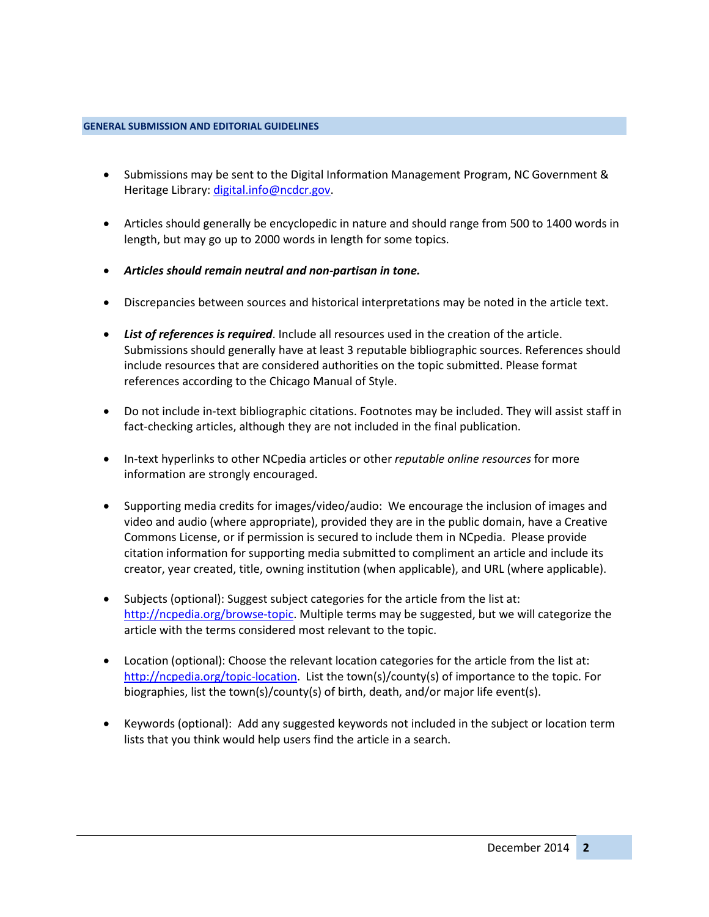#### **GENERAL SUBMISSION AND EDITORIAL GUIDELINES**

- Submissions may be sent to the Digital Information Management Program, NC Government & Heritage Library: digital.info@ncdcr.gov.
- Articles should generally be encyclopedic in nature and should range from 500 to 1400 words in length, but may go up to 2000 words in length for some topics.
- *Articles should remain neutral and non-partisan in tone.*
- Discrepancies between sources and historical interpretations may be noted in the article text.
- *List of references is required*. Include all resources used in the creation of the article. Submissions should generally have at least 3 reputable bibliographic sources. References should include resources that are considered authorities on the topic submitted. Please format references according to the Chicago Manual of Style.
- Do not include in-text bibliographic citations. Footnotes may be included. They will assist staff in fact-checking articles, although they are not included in the final publication.
- In-text hyperlinks to other NCpedia articles or other *reputable online resources* for more information are strongly encouraged.
- Supporting media credits for images/video/audio: We encourage the inclusion of images and video and audio (where appropriate), provided they are in the public domain, have a Creative Commons License, or if permission is secured to include them in NCpedia. Please provide citation information for supporting media submitted to compliment an article and include its creator, year created, title, owning institution (when applicable), and URL (where applicable).
- Subjects (optional): Suggest subject categories for the article from the list at: [http://ncpedia.org/browse-topic.](http://ncpedia.org/browse-topic) Multiple terms may be suggested, but we will categorize the article with the terms considered most relevant to the topic.
- Location (optional): Choose the relevant location categories for the article from the list at: [http://ncpedia.org/topic-location.](http://ncpedia.org/topic-location) List the town(s)/county(s) of importance to the topic. For biographies, list the town(s)/county(s) of birth, death, and/or major life event(s).
- Keywords (optional): Add any suggested keywords not included in the subject or location term lists that you think would help users find the article in a search.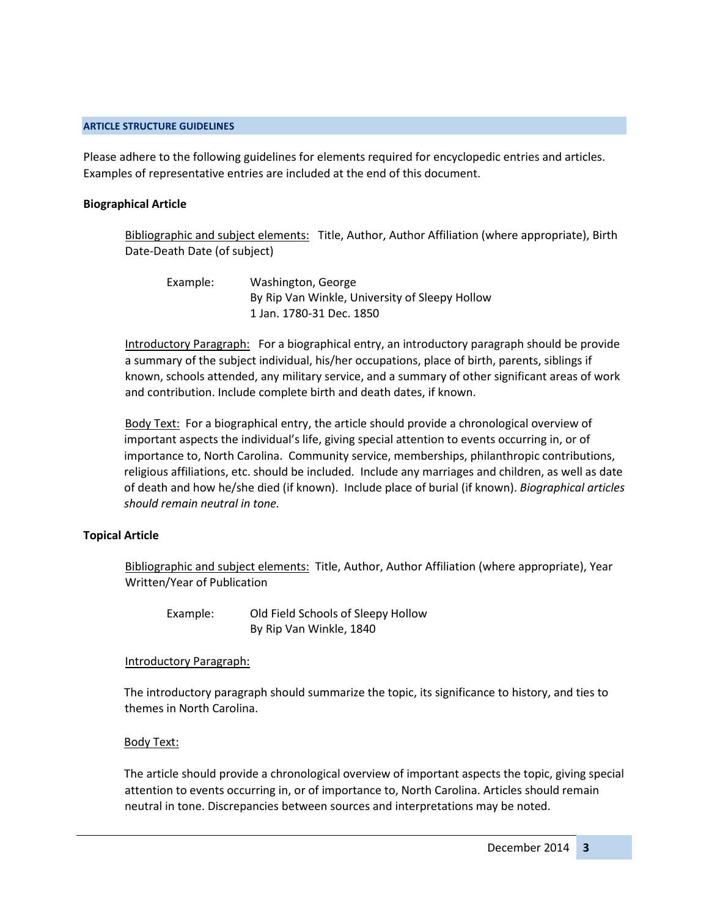#### **ARTICLE STRUCTURE GUIDELINES**

Please adhere to the following guidelines for elements required for encyclopedic entries and articles. Examples of representative entries are included at the end of this document.

### **Biographical Article**

Bibliographic and subject elements: Title, Author, Author Affiliation (where appropriate), Birth Date-Death Date (of subject)

Example: Washington, George By Rip Van Winkle, University of Sleepy Hollow 1 Jan. 1780-31 Dec. 1850

Introductory Paragraph: For a biographical entry, an introductory paragraph should be provide a summary of the subject individual, his/her occupations, place of birth, parents, siblings if known, schools attended, any military service, and a summary of other significant areas of work and contribution. Include complete birth and death dates, if known.

Body Text: For a biographical entry, the article should provide a chronological overview of important aspects the individual's life, giving special attention to events occurring in, or of importance to, North Carolina. Community service, memberships, philanthropic contributions, religious affiliations, etc. should be included. Include any marriages and children, as well as date of death and how he/she died (if known). Include place of burial (if known). *Biographical articles should remain neutral in tone.*

## **Topical Article**

Bibliographic and subject elements: Title, Author, Author Affiliation (where appropriate), Year Written/Year of Publication

Example: Old Field Schools of Sleepy Hollow By Rip Van Winkle, 1840

## Introductory Paragraph:

The introductory paragraph should summarize the topic, its significance to history, and ties to themes in North Carolina.

## Body Text:

The article should provide a chronological overview of important aspects the topic, giving special attention to events occurring in, or of importance to, North Carolina. Articles should remain neutral in tone. Discrepancies between sources and interpretations may be noted.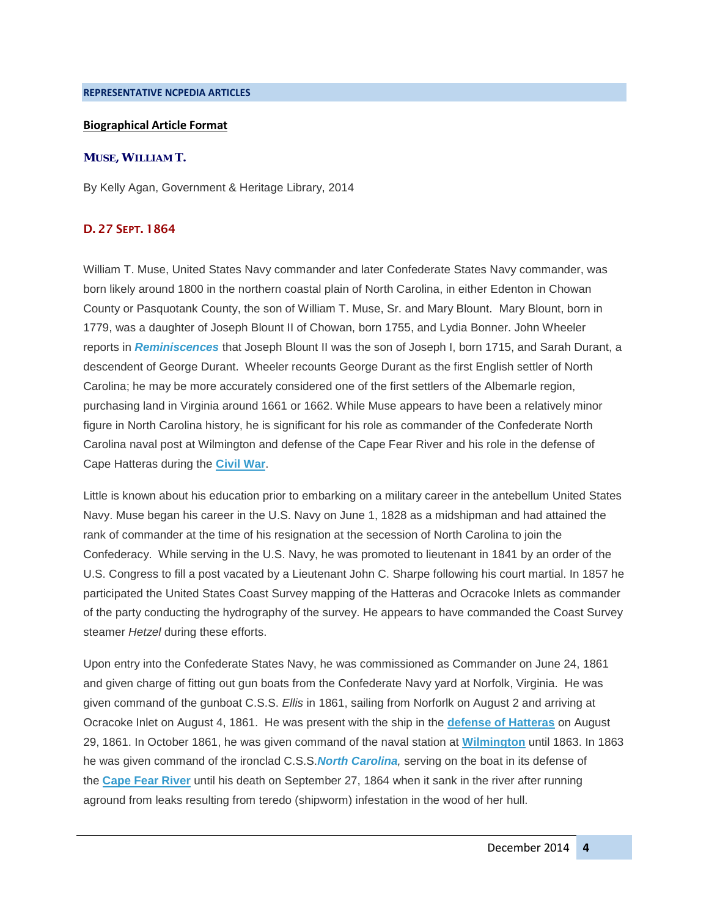#### **REPRESENTATIVE NCPEDIA ARTICLES**

### **Biographical Article Format**

### **MUSE, WILLIAM T.**

By Kelly Agan, Government & Heritage Library, 2014

## D. 27 SEPT. 1864

William T. Muse, United States Navy commander and later Confederate States Navy commander, was born likely around 1800 in the northern coastal plain of North Carolina, in either Edenton in Chowan County or Pasquotank County, the son of William T. Muse, Sr. and Mary Blount. Mary Blount, born in 1779, was a daughter of Joseph Blount II of Chowan, born 1755, and Lydia Bonner. John Wheeler reports in *[Reminiscences](https://archive.org/details/reminiscencesmem00whee)* that Joseph Blount II was the son of Joseph I, born 1715, and Sarah Durant, a descendent of George Durant. Wheeler recounts George Durant as the first English settler of North Carolina; he may be more accurately considered one of the first settlers of the Albemarle region, purchasing land in Virginia around 1661 or 1662. While Muse appears to have been a relatively minor figure in North Carolina history, he is significant for his role as commander of the Confederate North Carolina naval post at Wilmington and defense of the Cape Fear River and his role in the defense of Cape Hatteras during the **[Civil War](http://ncpedia.org/history/cw-1900/civil-war)**.

Little is known about his education prior to embarking on a military career in the antebellum United States Navy. Muse began his career in the U.S. Navy on June 1, 1828 as a midshipman and had attained the rank of commander at the time of his resignation at the secession of North Carolina to join the Confederacy. While serving in the U.S. Navy, he was promoted to lieutenant in 1841 by an order of the U.S. Congress to fill a post vacated by a Lieutenant John C. Sharpe following his court martial. In 1857 he participated the United States Coast Survey mapping of the Hatteras and Ocracoke Inlets as commander of the party conducting the hydrography of the survey. He appears to have commanded the Coast Survey steamer *Hetzel* during these efforts.

Upon entry into the Confederate States Navy, he was commissioned as Commander on June 24, 1861 and given charge of fitting out gun boats from the Confederate Navy yard at Norfolk, Virginia. He was given command of the gunboat C.S.S. *Ellis* in 1861, sailing from Norforlk on August 2 and arriving at Ocracoke Inlet on August 4, 1861. He was present with the ship in the **[defense of Hatteras](http://ncpedia.org/hatteras-inlet-battle)** on August 29, 1861. In October 1861, he was given command of the naval station at **[Wilmington](http://ncpedia.org/geography/wilmington)** until 1863. In 1863 he was given command of the ironclad C.S.S.*[North Carolina](http://ncpedia.org/north-carolina-css),* serving on the boat in its defense of the **[Cape Fear River](http://ncpedia.org/rivers/cape-fear)** until his death on September 27, 1864 when it sank in the river after running aground from leaks resulting from teredo (shipworm) infestation in the wood of her hull.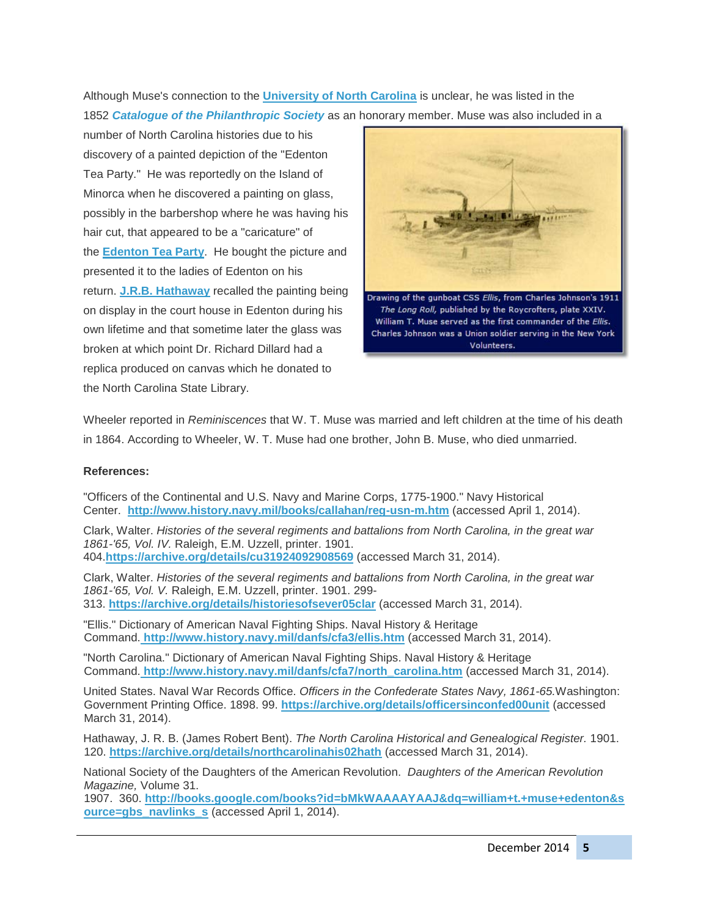Although Muse's connection to the **[University of North Carolina](http://ncpedia.org/university-north-carolina-chapel-hi)** is unclear, he was listed in the 1852 *Catalogue of the [Philanthropic Society](https://archive.org/details/catalogue00nort)* as an honorary member. Muse was also included in a

number of North Carolina histories due to his discovery of a painted depiction of the "Edenton Tea Party." He was reportedly on the Island of Minorca when he discovered a painting on glass, possibly in the barbershop where he was having his hair cut, that appeared to be a "caricature" of the **[Edenton Tea Party](http://ncpedia.org/history/colonial/edenton-tea-party)**. He bought the picture and presented it to the ladies of Edenton on his return. **[J.R.B. Hathaway](https://archive.org/stream/northcarolinahis02hath#page/120/mode/2up/search/Muse)** recalled the painting being on display in the court house in Edenton during his own lifetime and that sometime later the glass was broken at which point Dr. Richard Dillard had a replica produced on canvas which he donated to the North Carolina State Library.



Wheeler reported in *Reminiscences* that W. T. Muse was married and left children at the time of his death in 1864. According to Wheeler, W. T. Muse had one brother, John B. Muse, who died unmarried.

## **References:**

"Officers of the Continental and U.S. Navy and Marine Corps, 1775-1900." Navy Historical Center. **<http://www.history.navy.mil/books/callahan/reg-usn-m.htm>** (accessed April 1, 2014).

Clark, Walter. *Histories of the several regiments and battalions from North Carolina, in the great war 1861-'65, Vol. IV.* Raleigh, E.M. Uzzell, printer. 1901. 404.**<https://archive.org/details/cu31924092908569>** (accessed March 31, 2014).

Clark, Walter. *Histories of the several regiments and battalions from North Carolina, in the great war 1861-'65, Vol. V.* Raleigh, E.M. Uzzell, printer. 1901. 299- 313. **<https://archive.org/details/historiesofsever05clar>** (accessed March 31, 2014).

"Ellis." Dictionary of American Naval Fighting Ships. Naval History & Heritage Command. **<http://www.history.navy.mil/danfs/cfa3/ellis.htm>** (accessed March 31, 2014).

"North Carolina." Dictionary of American Naval Fighting Ships. Naval History & Heritage Command. **[http://www.history.navy.mil/danfs/cfa7/north\\_carolina.htm](http://www.history.navy.mil/danfs/cfa7/north_carolina.htm)** (accessed March 31, 2014).

United States. Naval War Records Office. *Officers in the Confederate States Navy, 1861-65.*Washington: Government Printing Office. 1898. 99. **<https://archive.org/details/officersinconfed00unit>** (accessed March 31, 2014).

Hathaway, J. R. B. (James Robert Bent). *The North Carolina Historical and Genealogical Register.* 1901. 120. **<https://archive.org/details/northcarolinahis02hath>** (accessed March 31, 2014).

National Society of the Daughters of the American Revolution. *Daughters of the American Revolution Magazine,* Volume 31.

1907. 360. **[http://books.google.com/books?id=bMkWAAAAYAAJ&dq=william+t.+muse+edenton&s](http://books.google.com/books?id=bMkWAAAAYAAJ&dq=william+t.+muse+edenton&source=gbs_navlinks_s) [ource=gbs\\_navlinks\\_s](http://books.google.com/books?id=bMkWAAAAYAAJ&dq=william+t.+muse+edenton&source=gbs_navlinks_s)** (accessed April 1, 2014).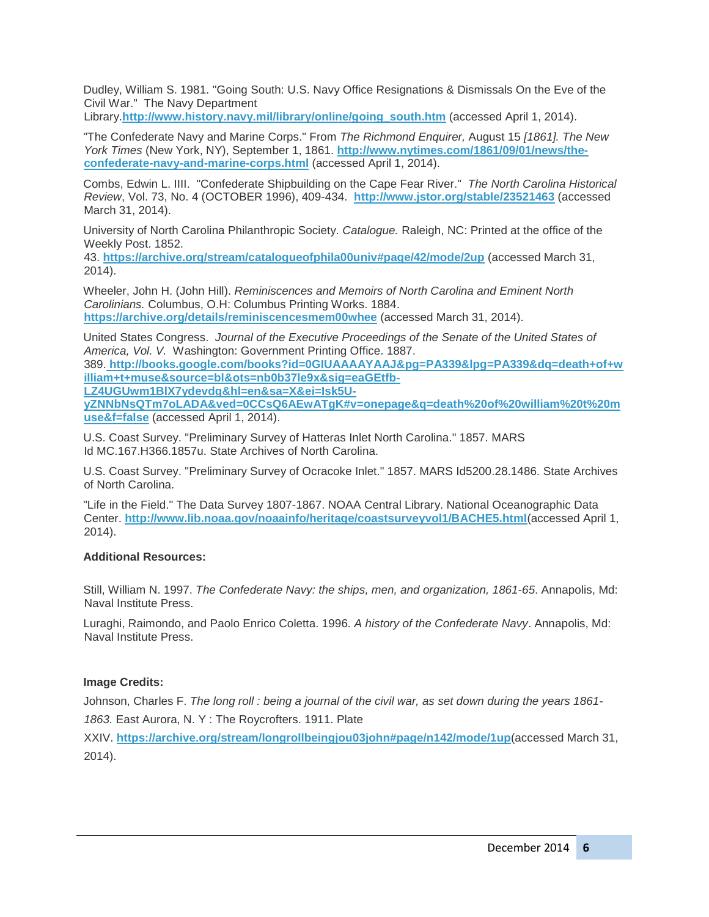Dudley, William S. 1981. "Going South: U.S. Navy Office Resignations & Dismissals On the Eve of the Civil War." The Navy Department

Library.**[http://www.history.navy.mil/library/online/going\\_south.htm](http://www.history.navy.mil/library/online/going_south.htm)** (accessed April 1, 2014).

"The Confederate Navy and Marine Corps." From *The Richmond Enquirer,* August 15 *[1861]. The New York Times* (New York, NY), September 1, 1861. **[http://www.nytimes.com/1861/09/01/news/the](http://www.nytimes.com/1861/09/01/news/the-confederate-navy-and-marine-corps.html)[confederate-navy-and-marine-corps.html](http://www.nytimes.com/1861/09/01/news/the-confederate-navy-and-marine-corps.html)** (accessed April 1, 2014).

Combs, Edwin L. IIII. "Confederate Shipbuilding on the Cape Fear River." *The North Carolina Historical Review*, Vol. 73, No. 4 (OCTOBER 1996), 409-434. **<http://www.jstor.org/stable/23521463>** (accessed March 31, 2014).

University of North Carolina Philanthropic Society. *Catalogue.* Raleigh, NC: Printed at the office of the Weekly Post. 1852.

43. **[https://archive.org/stream/catalogueofphila00univ#page/42/mode/2up](https://archive.org/details/catalogue00nort)** [\(](https://archive.org/details/catalogue00nort)accessed March 31, 2014).

Wheeler, John H. (John Hill). *Reminiscences and Memoirs of North Carolina and Eminent North Carolinians.* Columbus, O.H: Columbus Printing Works. 1884. **<https://archive.org/details/reminiscencesmem00whee>** (accessed March 31, 2014).

United States Congress. *Journal of the Executive Proceedings of the Senate of the United States of America, Vol. V.* Washington: Government Printing Office. 1887.

389. **[http://books.google.com/books?id=0GIUAAAAYAAJ&pg=PA339&lpg=PA339&dq=death+of+w](http://http/books.google.com/books?id=0GIUAAAAYAAJ&pg=PA339&lpg=PA339&dq=death+of+william+t+muse&source=bl&ots=nb0b37le9x&sig=eaGEtfb-LZ4UGUwm1BlX7ydevdg&hl=en&sa=X&ei=Isk5U-yZNNbNsQTm7oLADA&ved=0CCsQ6AEwATgK#v=onepage&q=death%20of%20william%20t%20muse&f=false) [illiam+t+muse&source=bl&ots=nb0b37le9x&sig=eaGEtfb-](http://http/books.google.com/books?id=0GIUAAAAYAAJ&pg=PA339&lpg=PA339&dq=death+of+william+t+muse&source=bl&ots=nb0b37le9x&sig=eaGEtfb-LZ4UGUwm1BlX7ydevdg&hl=en&sa=X&ei=Isk5U-yZNNbNsQTm7oLADA&ved=0CCsQ6AEwATgK#v=onepage&q=death%20of%20william%20t%20muse&f=false)**

**[LZ4UGUwm1BlX7ydevdg&hl=en&sa=X&ei=Isk5U-](http://http/books.google.com/books?id=0GIUAAAAYAAJ&pg=PA339&lpg=PA339&dq=death+of+william+t+muse&source=bl&ots=nb0b37le9x&sig=eaGEtfb-LZ4UGUwm1BlX7ydevdg&hl=en&sa=X&ei=Isk5U-yZNNbNsQTm7oLADA&ved=0CCsQ6AEwATgK#v=onepage&q=death%20of%20william%20t%20muse&f=false)**

**[yZNNbNsQTm7oLADA&ved=0CCsQ6AEwATgK#v=onepage&q=death%20of%20william%20t%20m](http://http/books.google.com/books?id=0GIUAAAAYAAJ&pg=PA339&lpg=PA339&dq=death+of+william+t+muse&source=bl&ots=nb0b37le9x&sig=eaGEtfb-LZ4UGUwm1BlX7ydevdg&hl=en&sa=X&ei=Isk5U-yZNNbNsQTm7oLADA&ved=0CCsQ6AEwATgK#v=onepage&q=death%20of%20william%20t%20muse&f=false) [use&f=false](http://http/books.google.com/books?id=0GIUAAAAYAAJ&pg=PA339&lpg=PA339&dq=death+of+william+t+muse&source=bl&ots=nb0b37le9x&sig=eaGEtfb-LZ4UGUwm1BlX7ydevdg&hl=en&sa=X&ei=Isk5U-yZNNbNsQTm7oLADA&ved=0CCsQ6AEwATgK#v=onepage&q=death%20of%20william%20t%20muse&f=false)** (accessed April 1, 2014).

U.S. Coast Survey. "Preliminary Survey of Hatteras Inlet North Carolina." 1857. MARS Id MC.167.H366.1857u. State Archives of North Carolina.

U.S. Coast Survey. "Preliminary Survey of Ocracoke Inlet." 1857. MARS Id5200.28.1486. State Archives of North Carolina.

"Life in the Field." The Data Survey 1807-1867. NOAA Central Library. National Oceanographic Data Center. **<http://www.lib.noaa.gov/noaainfo/heritage/coastsurveyvol1/BACHE5.html>**(accessed April 1, 2014).

## **Additional Resources:**

Still, William N. 1997. *The Confederate Navy: the ships, men, and organization, 1861-65*. Annapolis, Md: Naval Institute Press.

Luraghi, Raimondo, and Paolo Enrico Coletta. 1996. *A history of the Confederate Navy*. Annapolis, Md: Naval Institute Press.

# **Image Credits:**

Johnson, Charles F. *The long roll : being a journal of the civil war, as set down during the years 1861- 1863.* East Aurora, N. Y : The Roycrofters. 1911. Plate

XXIV. **<https://archive.org/stream/longrollbeingjou03john#page/n142/mode/1up>**(accessed March 31, 2014).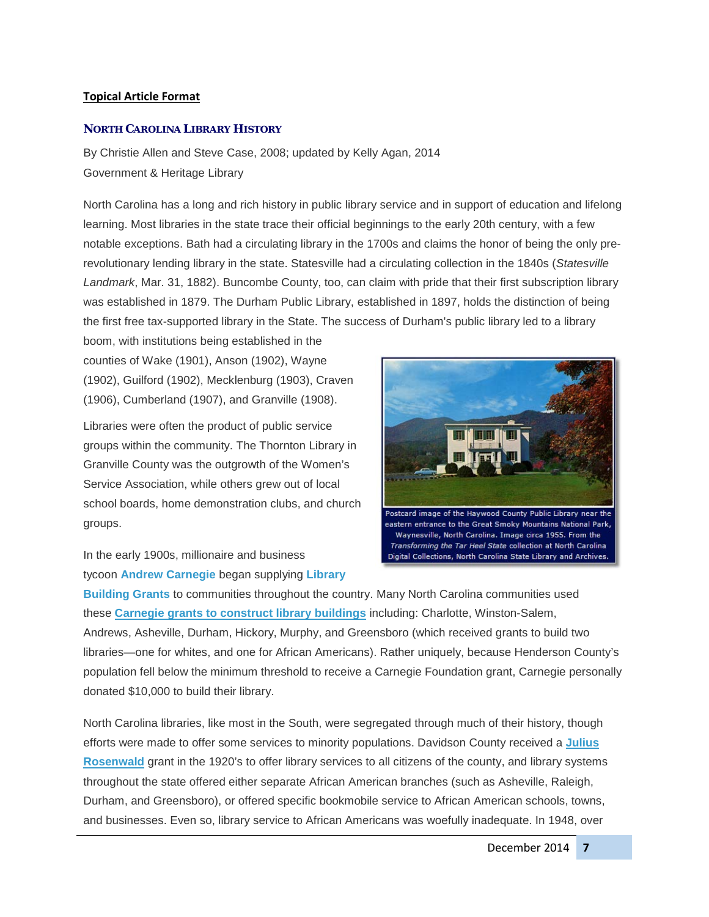## **Topical Article Format**

### **NORTH CAROLINA LIBRARY HISTORY**

By Christie Allen and Steve Case, 2008; updated by Kelly Agan, 2014 Government & Heritage Library

North Carolina has a long and rich history in public library service and in support of education and lifelong learning. Most libraries in the state trace their official beginnings to the early 20th century, with a few notable exceptions. Bath had a circulating library in the 1700s and claims the honor of being the only prerevolutionary lending library in the state. Statesville had a circulating collection in the 1840s (*Statesville Landmark*, Mar. 31, 1882). Buncombe County, too, can claim with pride that their first subscription library was established in 1879. The Durham Public Library, established in 1897, holds the distinction of being the first free tax-supported library in the State. The success of Durham's public library led to a library

boom, with institutions being established in the counties of Wake (1901), Anson (1902), Wayne (1902), Guilford (1902), Mecklenburg (1903), Craven (1906), Cumberland (1907), and Granville (1908).

Libraries were often the product of public service groups within the community. The Thornton Library in Granville County was the outgrowth of the Women's Service Association, while others grew out of local school boards, home demonstration clubs, and church groups.

Postcard image of the Haywood County Public Library near the eastern entrance to the Great Smoky Mountains National Park, Waynesville, North Carolina. Image circa 1955. From the Transforming the Tar Heel State collection at North Carolina Digital Collections, North Carolina State Library and Archives.

In the early 1900s, millionaire and business tycoon **[Andrew Carnegie](http://www.pbs.org/wgbh/amex/carnegie/)** began supplying **[Library](http://ncpedia.org/carnegie-libraries)** 

**[Building Grants](http://ncpedia.org/carnegie-libraries)** to communities throughout the country. Many North Carolina communities used these **[Carnegie grants to construct library buildings](http://ncpedia.org/carnegie-libraries)** including: Charlotte, Winston-Salem, Andrews, Asheville, Durham, Hickory, Murphy, and Greensboro (which received grants to build two libraries—one for whites, and one for African Americans). Rather uniquely, because Henderson County's population fell below the minimum threshold to receive a Carnegie Foundation grant, Carnegie personally donated \$10,000 to build their library.

North Carolina libraries, like most in the South, were segregated through much of their history, though efforts were made to offer some services to minority populations. Davidson County received a **[Julius](http://ncpedia.org/rosenwald-fund)  [Rosenwald](http://ncpedia.org/rosenwald-fund)** grant in the 1920's to offer library services to all citizens of the county, and library systems throughout the state offered either separate African American branches (such as Asheville, Raleigh, Durham, and Greensboro), or offered specific bookmobile service to African American schools, towns, and businesses. Even so, library service to African Americans was woefully inadequate. In 1948, over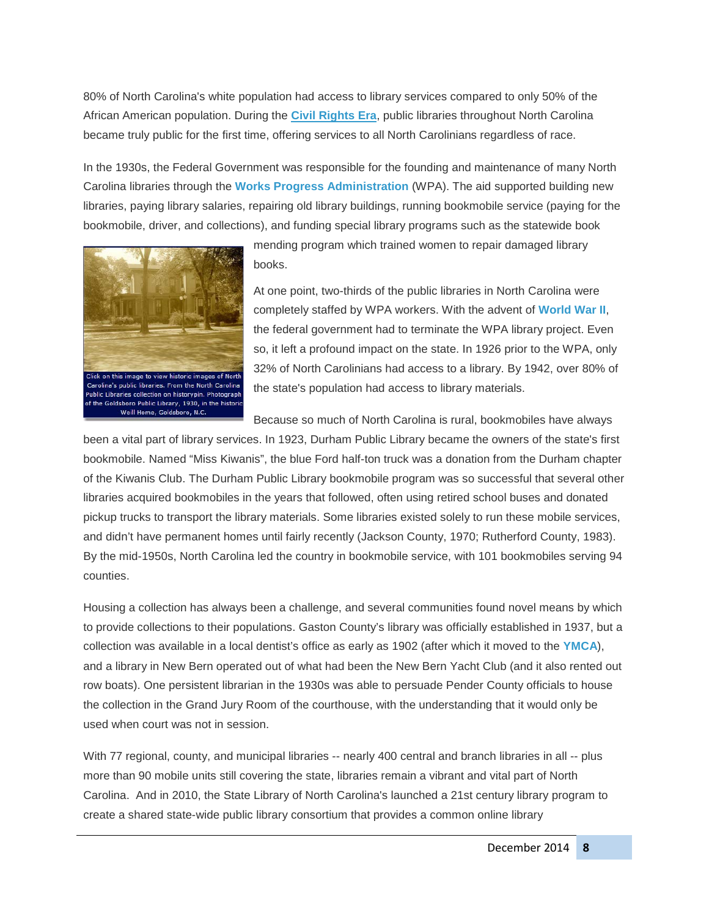80% of North Carolina's white population had access to library services compared to only 50% of the African American population. During the **[Civil Rights Era](http://ncpedia.org/civil-rights-movement)**, public libraries throughout North Carolina became truly public for the first time, offering services to all North Carolinians regardless of race.

In the 1930s, the Federal Government was responsible for the founding and maintenance of many North Carolina libraries through the **[Works Progress Administration](http://ncpedia.org/history/20th-Century/wpa)** (WPA). The aid supported building new libraries, paying library salaries, repairing old library buildings, running bookmobile service (paying for the bookmobile, driver, and collections), and funding special library programs such as the statewide book



mending program which trained women to repair damaged library books.

At one point, two-thirds of the public libraries in North Carolina were completely staffed by WPA workers. With the advent of **[World War II](http://ncpedia.org/world-war-ii)**, the federal government had to terminate the WPA library project. Even so, it left a profound impact on the state. In 1926 prior to the WPA, only 32% of North Carolinians had access to a library. By 1942, over 80% of the state's population had access to library materials.

Because so much of North Carolina is rural, bookmobiles have always

been a vital part of library services. In 1923, Durham Public Library became the owners of the state's first bookmobile. Named "Miss Kiwanis", the blue Ford half-ton truck was a donation from the Durham chapter of the Kiwanis Club. The Durham Public Library bookmobile program was so successful that several other libraries acquired bookmobiles in the years that followed, often using retired school buses and donated pickup trucks to transport the library materials. Some libraries existed solely to run these mobile services, and didn't have permanent homes until fairly recently (Jackson County, 1970; Rutherford County, 1983). By the mid-1950s, North Carolina led the country in bookmobile service, with 101 bookmobiles serving 94 counties.

Housing a collection has always been a challenge, and several communities found novel means by which to provide collections to their populations. Gaston County's library was officially established in 1937, but a collection was available in a local dentist's office as early as 1902 (after which it moved to the **[YMCA](http://ncpedia.org/ymca-and-ywca)**), and a library in New Bern operated out of what had been the New Bern Yacht Club (and it also rented out row boats). One persistent librarian in the 1930s was able to persuade Pender County officials to house the collection in the Grand Jury Room of the courthouse, with the understanding that it would only be used when court was not in session.

With 77 regional, county, and municipal libraries -- nearly 400 central and branch libraries in all -- plus more than 90 mobile units still covering the state, libraries remain a vibrant and vital part of North Carolina. And in 2010, the State Library of North Carolina's launched a 21st century library program to create a shared state-wide public library consortium that provides a common online library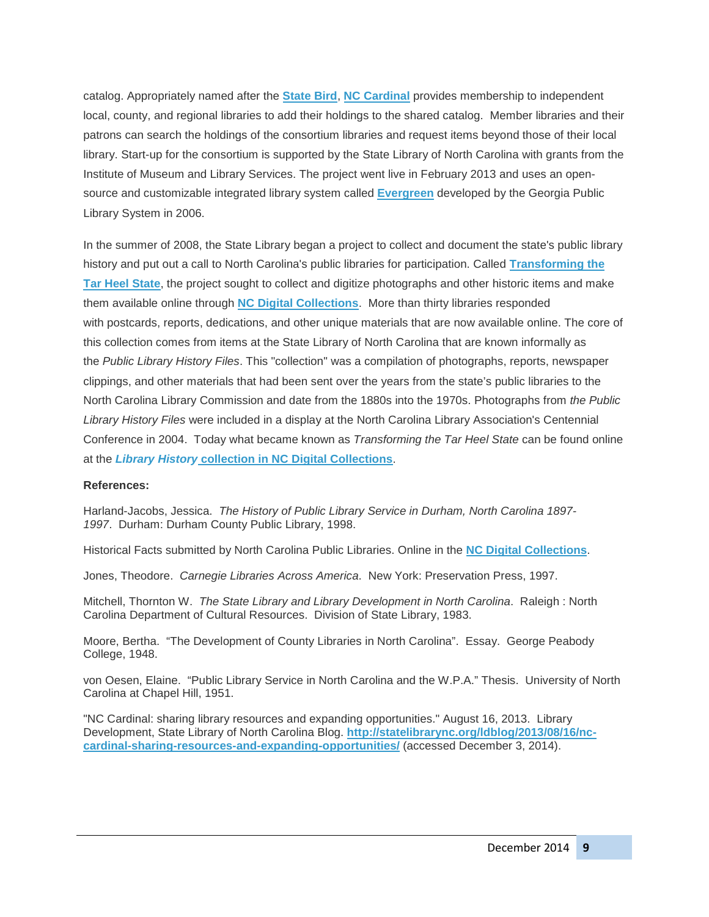catalog. Appropriately named after the **[State Bird](http://ncpedia.org/symbols/bird)**, **[NC Cardinal](http://statelibrary.ncdcr.gov/ld/services/nccardinal.html)** provides membership to independent local, county, and regional libraries to add their holdings to the shared catalog. Member libraries and their patrons can search the holdings of the consortium libraries and request items beyond those of their local library. Start-up for the consortium is supported by the State Library of North Carolina with grants from the Institute of Museum and Library Services. The project went live in February 2013 and uses an opensource and customizable integrated library system called **[Evergreen](http://evergreen-ils.org/about-us/)** developed by the Georgia Public Library System in 2006.

In the summer of 2008, the State Library began a project to collect and document the state's public library history and put out a call to North Carolina's public libraries for participation. Called **[Transforming the](http://digital.ncdcr.gov/cdm/search/searchterm/transforming%20the%20tar%20heel%20state/order/nosort)  [Tar Heel State](http://digital.ncdcr.gov/cdm/search/searchterm/transforming%20the%20tar%20heel%20state/order/nosort)**, the project sought to collect and digitize photographs and other historic items and make them available online through **[NC Digital Collections](http://digital.ncdcr.gov/)**. More than thirty libraries responded with postcards, reports, dedications, and other unique materials that are now available online. The core of this collection comes from items at the State Library of North Carolina that are known informally as the *Public Library History Files*. This "collection" was a compilation of photographs, reports, newspaper clippings, and other materials that had been sent over the years from the state's public libraries to the North Carolina Library Commission and date from the 1880s into the 1970s. Photographs from *the Public Library History Files* were included in a display at the North Carolina Library Association's Centennial Conference in 2004. Today what became known as *Transforming the Tar Heel State* can be found online at the *Library History* **[collection in NC Digital Collections](http://digital.ncdcr.gov/cdm/home/collections/library-history)**.

### **References:**

Harland-Jacobs, Jessica. *The History of Public Library Service in Durham, North Carolina 1897- 1997*. Durham: Durham County Public Library, 1998.

Historical Facts submitted by North Carolina Public Libraries. Online in the **[NC Digital Collections](http://digital.ncdcr.gov/cdm4/results.php?CISOOP1=exact&CISOFIELD1=digita&CISOBOX1=Transforming+the+Tar+Heel&CISOOP2=exact&CISOROOT=all&CISOFIELD2=publia&CISOBOX2=Histories)**.

Jones, Theodore. *Carnegie Libraries Across America*. New York: Preservation Press, 1997.

Mitchell, Thornton W. *The State Library and Library Development in North Carolina*. Raleigh : North Carolina Department of Cultural Resources. Division of State Library, 1983.

Moore, Bertha. "The Development of County Libraries in North Carolina". Essay. George Peabody College, 1948.

von Oesen, Elaine. "Public Library Service in North Carolina and the W.P.A." Thesis. University of North Carolina at Chapel Hill, 1951.

"NC Cardinal: sharing library resources and expanding opportunities." August 16, 2013. Library Development, State Library of North Carolina Blog. **[http://statelibrarync.org/ldblog/2013/08/16/nc](http://statelibrarync.org/ldblog/2013/08/16/nc-cardinal-sharing-resources-and-expanding-opportunities/)[cardinal-sharing-resources-and-expanding-opportunities/](http://statelibrarync.org/ldblog/2013/08/16/nc-cardinal-sharing-resources-and-expanding-opportunities/)** (accessed December 3, 2014).